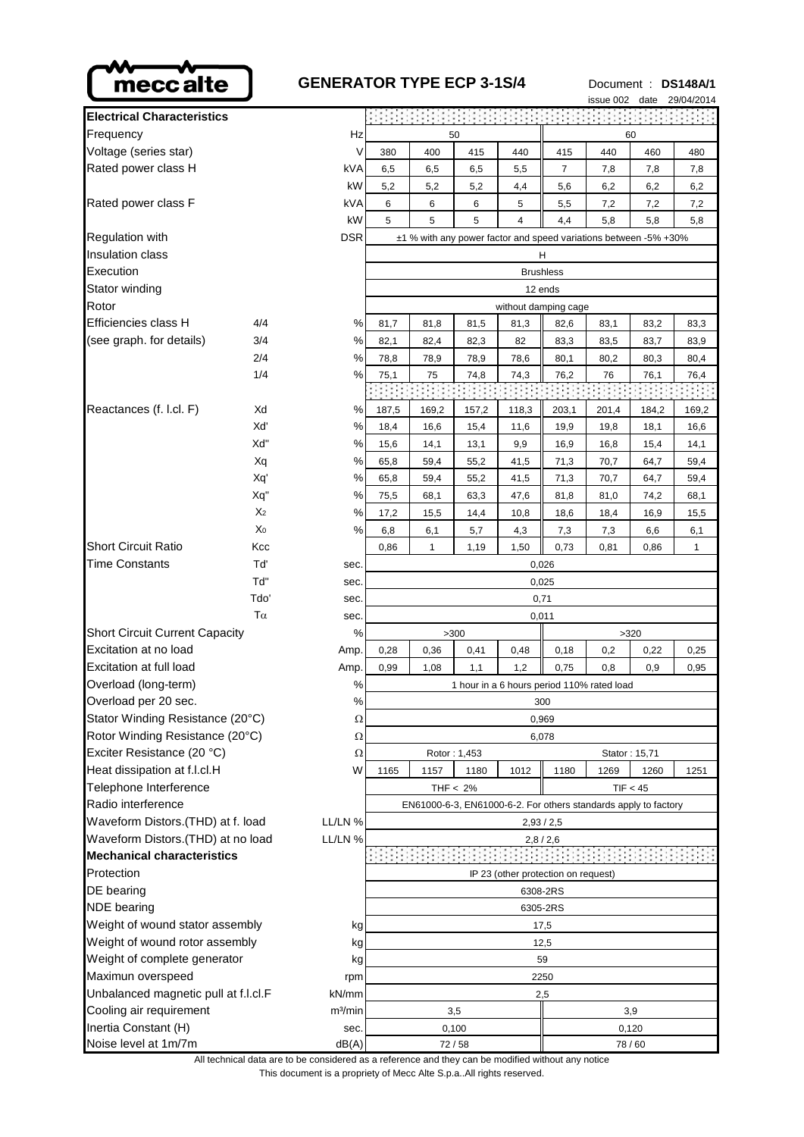

## **GENERATOR TYPE ECP 3-1S/4** Document : **DS148A/1**

 $00/01/004$ 

|                                               |                |                                                                  |                                                                 |       |              |                                     |                | <b>ISSUE UUZ</b> | uale  | 29/04/2014 |  |
|-----------------------------------------------|----------------|------------------------------------------------------------------|-----------------------------------------------------------------|-------|--------------|-------------------------------------|----------------|------------------|-------|------------|--|
| <b>Electrical Characteristics</b>             |                |                                                                  |                                                                 |       |              |                                     |                |                  |       |            |  |
| Frequency<br>Hz                               |                |                                                                  | 50<br>60                                                        |       |              |                                     |                |                  |       |            |  |
| Voltage (series star)                         |                | V                                                                | 380                                                             | 400   | 415          | 440                                 | 415            | 440              | 460   | 480        |  |
| Rated power class H                           |                | <b>kVA</b>                                                       | 6,5                                                             | 6,5   | 6,5          | 5,5                                 | $\overline{7}$ | 7,8              | 7,8   | 7,8        |  |
|                                               |                | kW                                                               | 5,2                                                             | 5,2   | 5,2          | 4,4                                 | 5,6            | 6,2              | 6,2   | 6,2        |  |
| Rated power class F                           |                | kVA                                                              | 6                                                               | 6     | 6            | 5                                   | 5,5            | 7,2              | 7,2   | 7,2        |  |
|                                               |                | kW                                                               | 5                                                               | 5     | 5            | 4                                   | 4,4            | 5,8              | 5,8   | 5,8        |  |
| <b>DSR</b><br><b>Regulation with</b>          |                | ±1 % with any power factor and speed variations between -5% +30% |                                                                 |       |              |                                     |                |                  |       |            |  |
| Insulation class                              |                |                                                                  |                                                                 |       |              |                                     | H              |                  |       |            |  |
| Execution                                     |                | <b>Brushless</b>                                                 |                                                                 |       |              |                                     |                |                  |       |            |  |
| Stator winding                                |                |                                                                  | 12 ends                                                         |       |              |                                     |                |                  |       |            |  |
| Rotor                                         |                |                                                                  | without damping cage                                            |       |              |                                     |                |                  |       |            |  |
| Efficiencies class H                          | 4/4            | $\%$                                                             | 81,7                                                            | 81,8  | 81,5         | 81,3                                | 82,6           | 83,1             | 83,2  | 83,3       |  |
| (see graph. for details)                      | 3/4            | $\%$                                                             | 82,1                                                            | 82,4  | 82,3         | 82                                  | 83,3           | 83,5             | 83,7  | 83,9       |  |
|                                               | 2/4            | %                                                                | 78,8                                                            | 78,9  | 78,9         | 78,6                                | 80,1           | 80,2             | 80,3  | 80,4       |  |
|                                               | 1/4            | %                                                                | 75,1                                                            | 75    | 74,8         | 74,3                                | 76,2           | 76               | 76,1  | 76,4       |  |
|                                               |                |                                                                  |                                                                 |       |              |                                     |                |                  |       |            |  |
| Reactances (f. l.cl. F)                       | Xd             | $\%$                                                             | 187,5                                                           | 169,2 | 157,2        | 118,3                               | 203,1          | 201,4            | 184,2 | 169,2      |  |
|                                               | Xď             | %                                                                | 18,4                                                            | 16,6  | 15,4         | 11,6                                | 19,9           | 19,8             | 18,1  | 16,6       |  |
|                                               | Xd"            | $\%$                                                             | 15,6                                                            | 14,1  | 13,1         | 9,9                                 | 16,9           | 16,8             | 15,4  | 14,1       |  |
|                                               | Xq             | %                                                                | 65,8                                                            | 59,4  | 55,2         | 41,5                                | 71,3           | 70,7             | 64,7  | 59,4       |  |
|                                               | Xq'            | $\%$                                                             | 65,8                                                            | 59,4  | 55,2         | 41,5                                | 71,3           | 70,7             | 64,7  | 59,4       |  |
|                                               | Xq"            | %                                                                | 75,5                                                            | 68,1  | 63,3         | 47,6                                | 81,8           | 81,0             | 74,2  | 68,1       |  |
|                                               | X <sub>2</sub> | %                                                                | 17,2                                                            | 15,5  | 14,4         | 10,8                                | 18,6           | 18,4             | 16,9  | 15,5       |  |
|                                               | X <sub>0</sub> | %                                                                | 6,8                                                             | 6,1   | 5,7          | 4,3                                 | 7,3            | 7,3              | 6,6   | 6,1        |  |
| <b>Short Circuit Ratio</b>                    | Kcc            |                                                                  | 0,86                                                            | 1     | 1,19         | 1,50                                | 0,73           | 0,81             | 0,86  | 1          |  |
| <b>Time Constants</b>                         | Tď             | sec.                                                             |                                                                 |       |              |                                     | 0,026          |                  |       |            |  |
|                                               | Td"            | sec.                                                             | 0,025                                                           |       |              |                                     |                |                  |       |            |  |
|                                               | Tdo'           | sec.                                                             | 0,71                                                            |       |              |                                     |                |                  |       |            |  |
|                                               | sec.           | 0,011                                                            |                                                                 |       |              |                                     |                |                  |       |            |  |
| <b>Short Circuit Current Capacity</b>         |                | %                                                                |                                                                 |       | >300         |                                     |                |                  | >320  |            |  |
| Excitation at no load                         |                | Amp.                                                             | 0,28                                                            | 0,36  | 0,41         | 0,48                                | 0,18           | 0,2              | 0,22  | 0,25       |  |
| Excitation at full load                       |                | Amp.                                                             | 0,99                                                            | 1,08  | 1,1          | 1,2                                 | 0,75           | 0,8              | 0,9   | 0,95       |  |
| Overload (long-term)                          |                | $\%$                                                             | 1 hour in a 6 hours period 110% rated load                      |       |              |                                     |                |                  |       |            |  |
| Overload per 20 sec.<br>%                     |                |                                                                  | 300                                                             |       |              |                                     |                |                  |       |            |  |
| Stator Winding Resistance (20°C)<br>$\Omega$  |                | 0,969                                                            |                                                                 |       |              |                                     |                |                  |       |            |  |
| Rotor Winding Resistance (20°C)               |                | $\Omega$                                                         | 6,078                                                           |       |              |                                     |                |                  |       |            |  |
| Exciter Resistance (20 °C)                    |                | $\Omega$                                                         |                                                                 |       | Rotor: 1,453 |                                     |                | Stator: 15,71    |       |            |  |
| Heat dissipation at f.l.cl.H                  |                | W                                                                | 1165                                                            | 1157  | 1180         | 1012                                | 1180           | 1269             | 1260  | 1251       |  |
| Telephone Interference                        |                |                                                                  | THF $< 2\%$<br>TIF < 45                                         |       |              |                                     |                |                  |       |            |  |
| Radio interference                            |                |                                                                  | EN61000-6-3, EN61000-6-2. For others standards apply to factory |       |              |                                     |                |                  |       |            |  |
| Waveform Distors.(THD) at f. load<br>LL/LN %  |                |                                                                  | 2,93/2,5                                                        |       |              |                                     |                |                  |       |            |  |
| Waveform Distors. (THD) at no load<br>LL/LN % |                |                                                                  | 2,8/2,6                                                         |       |              |                                     |                |                  |       |            |  |
| <b>Mechanical characteristics</b>             |                |                                                                  |                                                                 |       |              |                                     |                |                  |       |            |  |
| Protection                                    |                |                                                                  |                                                                 |       |              | IP 23 (other protection on request) |                |                  |       |            |  |
| DE bearing                                    |                | 6308-2RS                                                         |                                                                 |       |              |                                     |                |                  |       |            |  |
| <b>NDE</b> bearing                            |                | 6305-2RS                                                         |                                                                 |       |              |                                     |                |                  |       |            |  |
| Weight of wound stator assembly<br>kg         |                | 17,5                                                             |                                                                 |       |              |                                     |                |                  |       |            |  |
| Weight of wound rotor assembly<br>kg          |                | 12,5                                                             |                                                                 |       |              |                                     |                |                  |       |            |  |
| Weight of complete generator<br>kg            |                | 59                                                               |                                                                 |       |              |                                     |                |                  |       |            |  |
| Maximun overspeed<br>rpm                      |                | 2250                                                             |                                                                 |       |              |                                     |                |                  |       |            |  |
| Unbalanced magnetic pull at f.l.cl.F<br>kN/mm |                | 2,5                                                              |                                                                 |       |              |                                     |                |                  |       |            |  |
| Cooling air requirement                       |                | m <sup>3</sup> /min                                              | 3,5<br>3,9                                                      |       |              |                                     |                |                  |       |            |  |
| Inertia Constant (H)                          |                | sec.                                                             | 0,100                                                           |       |              | 0,120                               |                |                  |       |            |  |
| Noise level at 1m/7m                          |                | dB(A)                                                            | 72/58                                                           |       |              | 78/60                               |                |                  |       |            |  |

This document is a propriety of Mecc Alte S.p.a..All rights reserved. All technical data are to be considered as a reference and they can be modified without any notice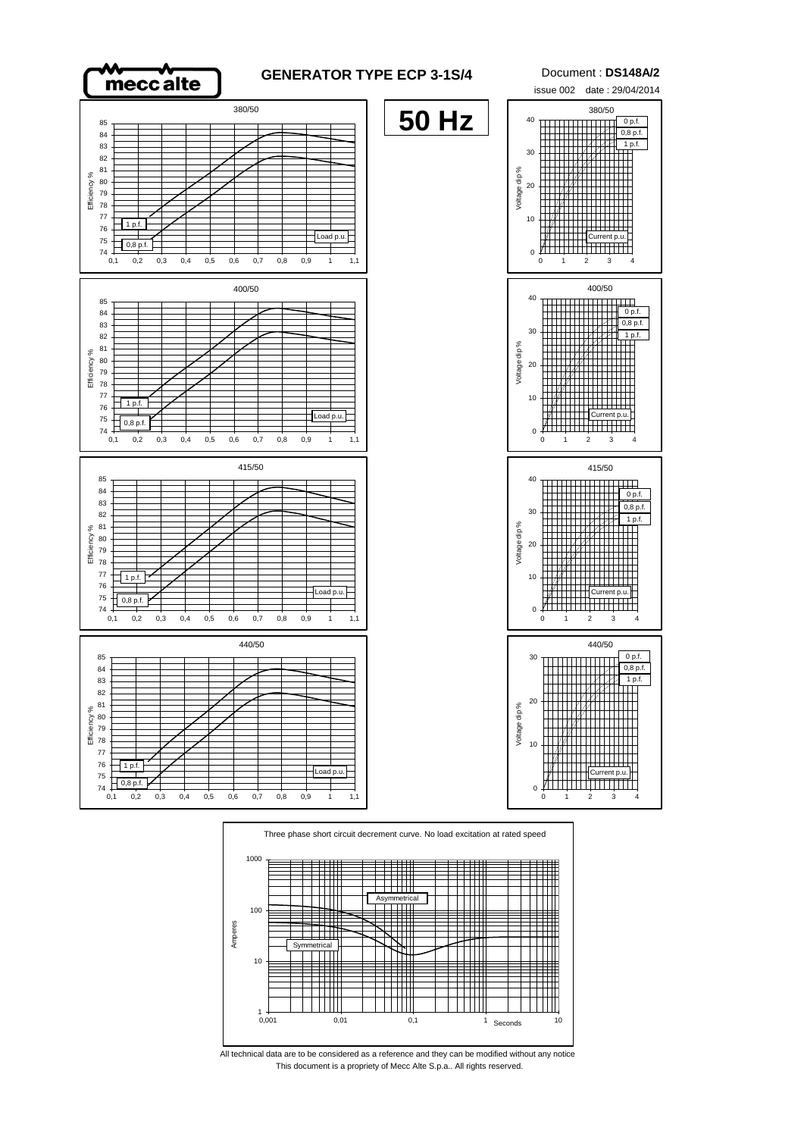



This document is a propriety of Mecc Alte S.p.a.. All rights reserved. All technical data are to be considered as a reference and they can be modified without any notice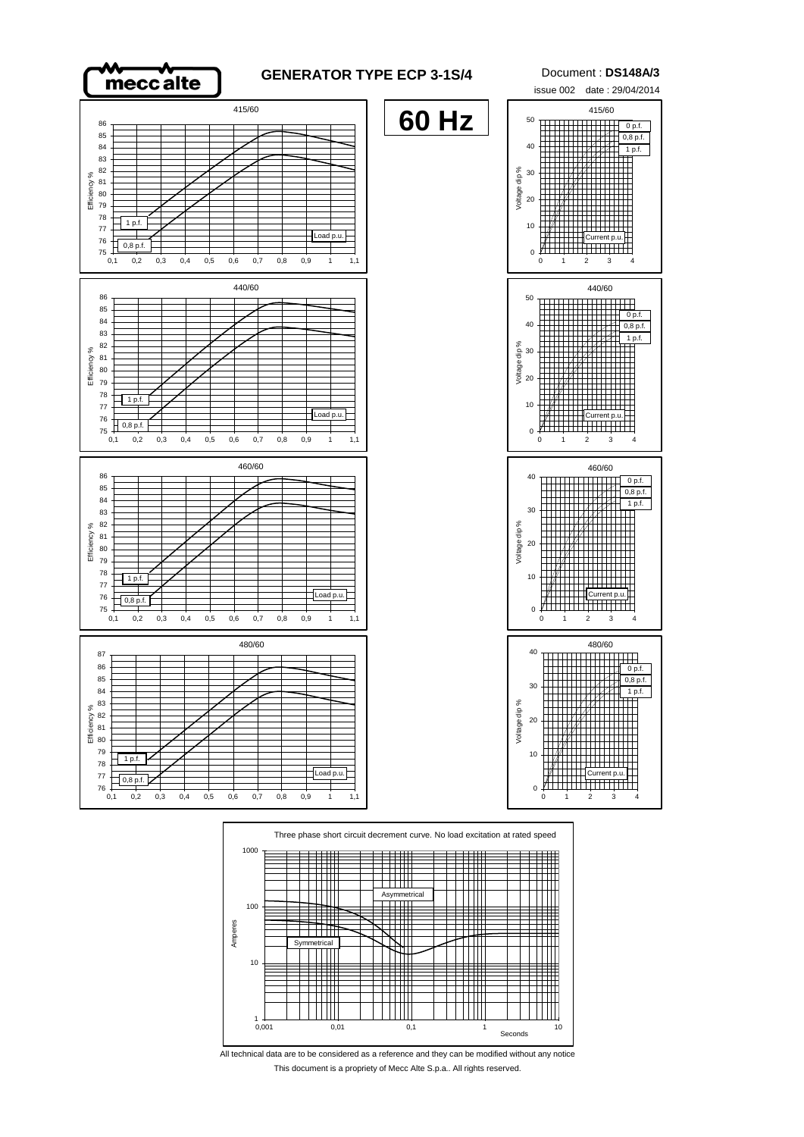

#### **GENERATOR TYPE ECP 3-1S/4** Document : **DS148A/3**

**60 Hz**









All technical data are to be considered as a reference and they can be modified without any notice This document is a propriety of Mecc Alte S.p.a.. All rights reserved.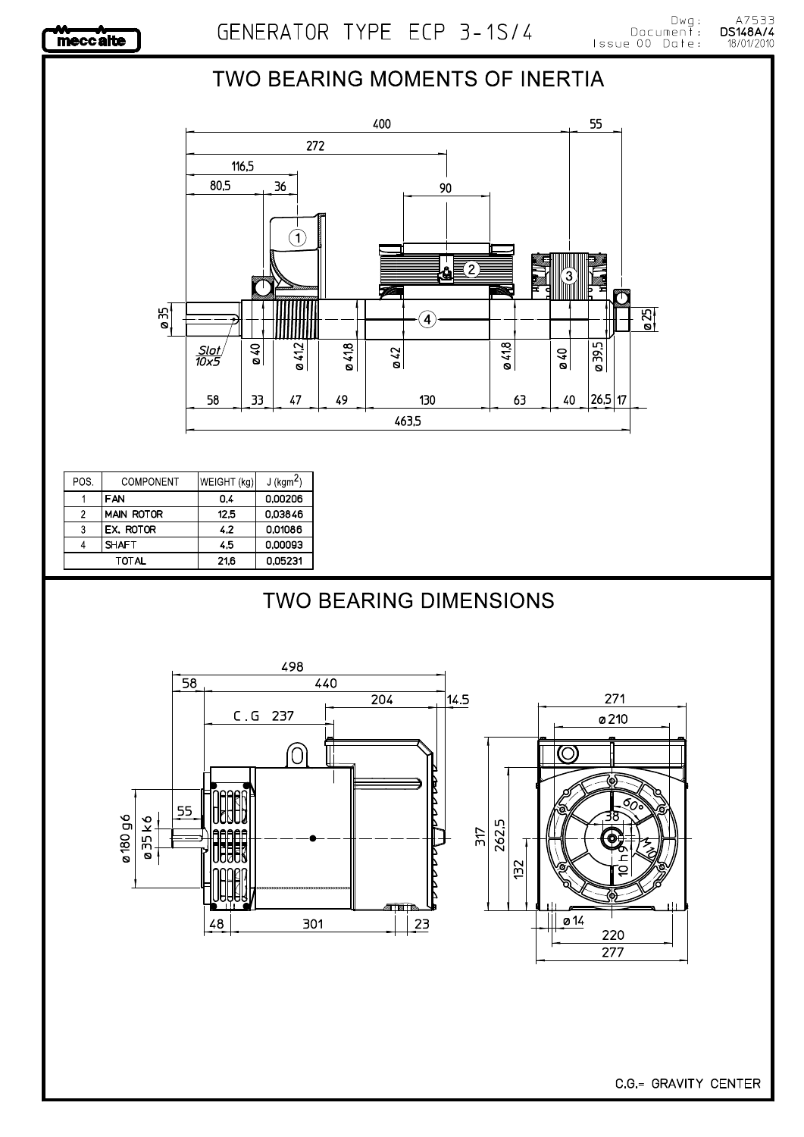

# A7533<br>**DS148A/4**<br>18/01/2010

### TWO BEARING MOMENTS OF INERTIA



| POS. | COMPONENT         | WEIGHT (kg) | $J$ (kgm <sup>2</sup> ) |
|------|-------------------|-------------|-------------------------|
|      | <b>FAN</b>        | 0.4         | 0,00206                 |
| 2    | <b>MAIN ROTOR</b> | 12.5        | 0.03846                 |
| 3    | EX. ROTOR         | 4.2         | 0.01086                 |
|      | <b>SHAFT</b>      | 4.5         | 0,00093                 |
|      | TOTAL             | 21.6        | 0.05231                 |

# **TWO BEARING DIMENSIONS**